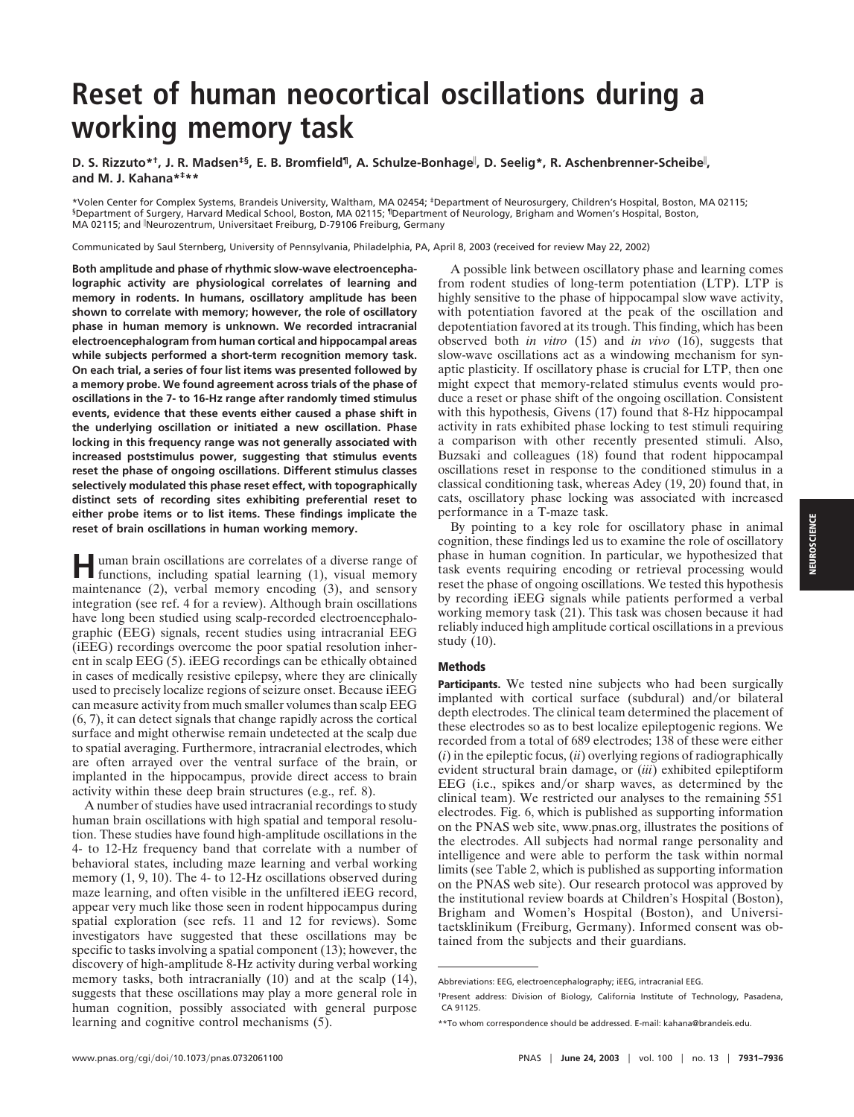## **Reset of human neocortical oscillations during a working memory task**

**D. S. Rizzuto\*†, J. R. Madsen‡§, E. B. Bromfield¶, A. Schulze-Bonhage , D. Seelig\*, R. Aschenbrenner-Scheibe , and M. J. Kahana\*‡\*\***

\*Volen Center for Complex Systems, Brandeis University, Waltham, MA 02454; ‡Department of Neurosurgery, Children's Hospital, Boston, MA 02115; §Department of Surgery, Harvard Medical School, Boston, MA 02115; ¶Department of Neurology, Brigham and Women's Hospital, Boston, MA 02115; and Neurozentrum, Universitaet Freiburg, D-79106 Freiburg, Germany

Communicated by Saul Sternberg, University of Pennsylvania, Philadelphia, PA, April 8, 2003 (received for review May 22, 2002)

**Both amplitude and phase of rhythmic slow-wave electroencephalographic activity are physiological correlates of learning and memory in rodents. In humans, oscillatory amplitude has been shown to correlate with memory; however, the role of oscillatory phase in human memory is unknown. We recorded intracranial electroencephalogram from human cortical and hippocampal areas while subjects performed a short-term recognition memory task. On each trial, a series of four list items was presented followed by a memory probe. We found agreement across trials of the phase of oscillations in the 7- to 16-Hz range after randomly timed stimulus events, evidence that these events either caused a phase shift in the underlying oscillation or initiated a new oscillation. Phase locking in this frequency range was not generally associated with increased poststimulus power, suggesting that stimulus events reset the phase of ongoing oscillations. Different stimulus classes selectively modulated this phase reset effect, with topographically distinct sets of recording sites exhibiting preferential reset to either probe items or to list items. These findings implicate the reset of brain oscillations in human working memory.**

**Human brain oscillations are correlates of a diverse range of functions** including apatitive **contract** functions, including spatial learning (1), visual memory maintenance (2), verbal memory encoding (3), and sensory integration (see ref. 4 for a review). Although brain oscillations have long been studied using scalp-recorded electroencephalographic (EEG) signals, recent studies using intracranial EEG (iEEG) recordings overcome the poor spatial resolution inherent in scalp EEG (5). iEEG recordings can be ethically obtained in cases of medically resistive epilepsy, where they are clinically used to precisely localize regions of seizure onset. Because iEEG can measure activity from much smaller volumes than scalp EEG (6, 7), it can detect signals that change rapidly across the cortical surface and might otherwise remain undetected at the scalp due to spatial averaging. Furthermore, intracranial electrodes, which are often arrayed over the ventral surface of the brain, or implanted in the hippocampus, provide direct access to brain activity within these deep brain structures (e.g., ref. 8).

A number of studies have used intracranial recordings to study human brain oscillations with high spatial and temporal resolution. These studies have found high-amplitude oscillations in the 4- to 12-Hz frequency band that correlate with a number of behavioral states, including maze learning and verbal working memory  $(1, 9, 10)$ . The 4- to 12-Hz oscillations observed during maze learning, and often visible in the unfiltered iEEG record, appear very much like those seen in rodent hippocampus during spatial exploration (see refs. 11 and 12 for reviews). Some investigators have suggested that these oscillations may be specific to tasks involving a spatial component (13); however, the discovery of high-amplitude 8-Hz activity during verbal working memory tasks, both intracranially (10) and at the scalp (14), suggests that these oscillations may play a more general role in human cognition, possibly associated with general purpose learning and cognitive control mechanisms (5).

A possible link between oscillatory phase and learning comes from rodent studies of long-term potentiation (LTP). LTP is highly sensitive to the phase of hippocampal slow wave activity, with potentiation favored at the peak of the oscillation and depotentiation favored at its trough. This finding, which has been observed both *in vitro* (15) and *in vivo* (16), suggests that slow-wave oscillations act as a windowing mechanism for synaptic plasticity. If oscillatory phase is crucial for LTP, then one might expect that memory-related stimulus events would produce a reset or phase shift of the ongoing oscillation. Consistent with this hypothesis, Givens (17) found that 8-Hz hippocampal activity in rats exhibited phase locking to test stimuli requiring a comparison with other recently presented stimuli. Also, Buzsaki and colleagues (18) found that rodent hippocampal oscillations reset in response to the conditioned stimulus in a classical conditioning task, whereas Adey (19, 20) found that, in cats, oscillatory phase locking was associated with increased performance in a T-maze task.

By pointing to a key role for oscillatory phase in animal cognition, these findings led us to examine the role of oscillatory phase in human cognition. In particular, we hypothesized that task events requiring encoding or retrieval processing would reset the phase of ongoing oscillations. We tested this hypothesis by recording iEEG signals while patients performed a verbal working memory task (21). This task was chosen because it had reliably induced high amplitude cortical oscillations in a previous study (10).

## **Methods**

**Participants.** We tested nine subjects who had been surgically implanted with cortical surface (subdural) and/or bilateral depth electrodes. The clinical team determined the placement of these electrodes so as to best localize epileptogenic regions. We recorded from a total of 689 electrodes; 138 of these were either (*i*) in the epileptic focus, (*ii*) overlying regions of radiographically evident structural brain damage, or (*iii*) exhibited epileptiform EEG (i.e., spikes and/or sharp waves, as determined by the clinical team). We restricted our analyses to the remaining 551 electrodes. Fig. 6, which is published as supporting information on the PNAS web site, www.pnas.org, illustrates the positions of the electrodes. All subjects had normal range personality and intelligence and were able to perform the task within normal limits (see Table 2, which is published as supporting information on the PNAS web site). Our research protocol was approved by the institutional review boards at Children's Hospital (Boston), Brigham and Women's Hospital (Boston), and Universitaetsklinikum (Freiburg, Germany). Informed consent was obtained from the subjects and their guardians.

Abbreviations: EEG, electroencephalography; iEEG, intracranial EEG.

<sup>†</sup>Present address: Division of Biology, California Institute of Technology, Pasadena, CA 91125.

<sup>\*\*</sup>To whom correspondence should be addressed. E-mail: kahana@brandeis.edu.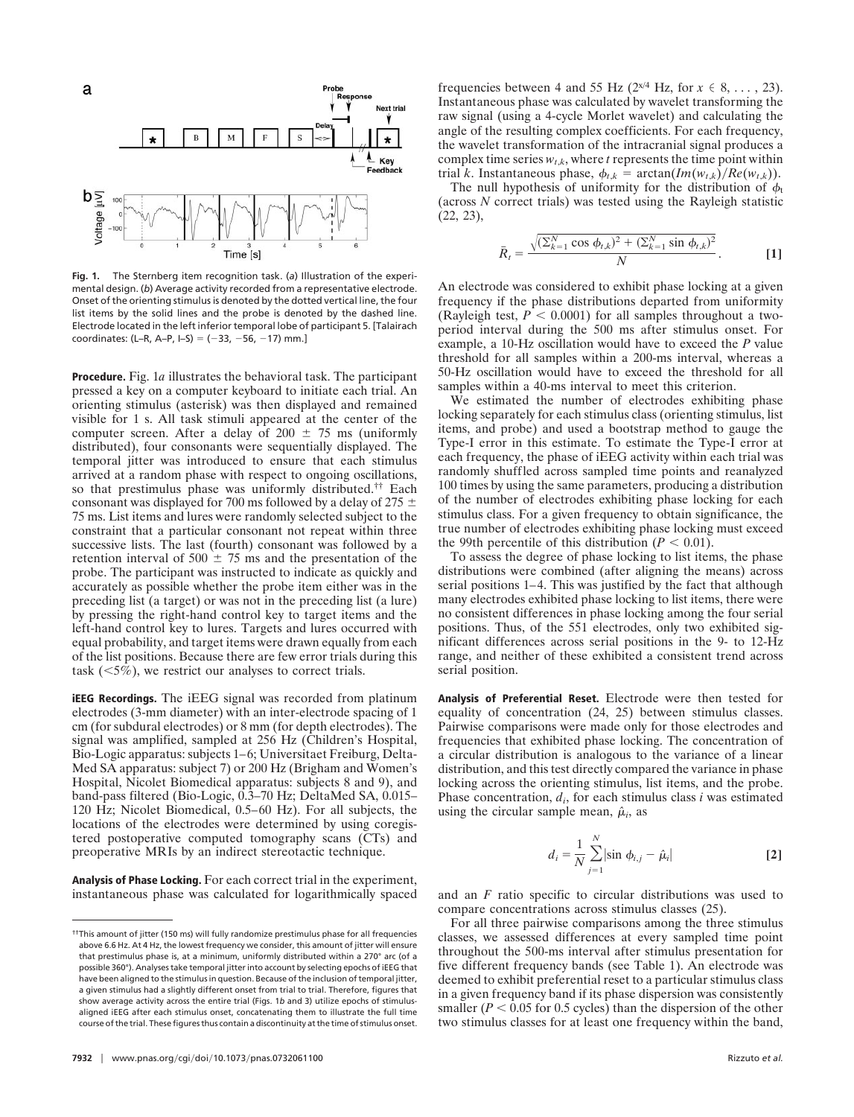

**Fig. 1.** The Sternberg item recognition task. (*a*) Illustration of the experimental design. (*b*) Average activity recorded from a representative electrode. Onset of the orienting stimulus is denoted by the dotted vertical line, the four list items by the solid lines and the probe is denoted by the dashed line. Electrode located in the left inferior temporal lobe of participant 5. [Talairach coordinates: (L–R, A–P, I–S) =  $(-33, -56, -17)$  mm.]

**Procedure.** Fig. 1*a* illustrates the behavioral task. The participant pressed a key on a computer keyboard to initiate each trial. An orienting stimulus (asterisk) was then displayed and remained visible for 1 s. All task stimuli appeared at the center of the computer screen. After a delay of 200  $\pm$  75 ms (uniformly distributed), four consonants were sequentially displayed. The temporal jitter was introduced to ensure that each stimulus arrived at a random phase with respect to ongoing oscillations, so that prestimulus phase was uniformly distributed.†† Each consonant was displayed for 700 ms followed by a delay of 275  $\pm$ 75 ms. List items and lures were randomly selected subject to the constraint that a particular consonant not repeat within three successive lists. The last (fourth) consonant was followed by a retention interval of 500  $\pm$  75 ms and the presentation of the probe. The participant was instructed to indicate as quickly and accurately as possible whether the probe item either was in the preceding list (a target) or was not in the preceding list (a lure) by pressing the right-hand control key to target items and the left-hand control key to lures. Targets and lures occurred with equal probability, and target items were drawn equally from each of the list positions. Because there are few error trials during this task  $(\leq 5\%)$ , we restrict our analyses to correct trials.

**iEEG Recordings.** The iEEG signal was recorded from platinum electrodes (3-mm diameter) with an inter-electrode spacing of 1 cm (for subdural electrodes) or 8 mm (for depth electrodes). The signal was amplified, sampled at 256 Hz (Children's Hospital, Bio-Logic apparatus: subjects 1–6; Universitaet Freiburg, Delta-Med SA apparatus: subject 7) or 200 Hz (Brigham and Women's Hospital, Nicolet Biomedical apparatus: subjects 8 and 9), and band-pass filtered (Bio-Logic, 0.3–70 Hz; DeltaMed SA, 0.015– 120 Hz; Nicolet Biomedical, 0.5–60 Hz). For all subjects, the locations of the electrodes were determined by using coregistered postoperative computed tomography scans (CTs) and preoperative MRIs by an indirect stereotactic technique.

**Analysis of Phase Locking.** For each correct trial in the experiment, instantaneous phase was calculated for logarithmically spaced frequencies between 4 and 55 Hz ( $2^{x/4}$  Hz, for  $x \in 8, \ldots, 23$ ). Instantaneous phase was calculated by wavelet transforming the raw signal (using a 4-cycle Morlet wavelet) and calculating the angle of the resulting complex coefficients. For each frequency, the wavelet transformation of the intracranial signal produces a complex time series  $w_{t,k}$ , where  $t$  represents the time point within trial *k*. Instantaneous phase,  $\phi_{t,k} = \arctan(Im(w_{t,k})/Re(w_{t,k}))$ .

The null hypothesis of uniformity for the distribution of  $\phi_t$ (across *N* correct trials) was tested using the Rayleigh statistic (22, 23),

$$
\bar{R}_t = \frac{\sqrt{(\sum_{k=1}^N \cos \phi_{t,k})^2 + (\sum_{k=1}^N \sin \phi_{t,k})^2}}{N}.
$$
 [1]

An electrode was considered to exhibit phase locking at a given frequency if the phase distributions departed from uniformity (Rayleigh test,  $P < 0.0001$ ) for all samples throughout a twoperiod interval during the 500 ms after stimulus onset. For example, a 10-Hz oscillation would have to exceed the *P* value threshold for all samples within a 200-ms interval, whereas a 50-Hz oscillation would have to exceed the threshold for all samples within a 40-ms interval to meet this criterion.

We estimated the number of electrodes exhibiting phase locking separately for each stimulus class (orienting stimulus, list items, and probe) and used a bootstrap method to gauge the Type-I error in this estimate. To estimate the Type-I error at each frequency, the phase of iEEG activity within each trial was randomly shuffled across sampled time points and reanalyzed 100 times by using the same parameters, producing a distribution of the number of electrodes exhibiting phase locking for each stimulus class. For a given frequency to obtain significance, the true number of electrodes exhibiting phase locking must exceed the 99th percentile of this distribution  $(P < 0.01)$ .

To assess the degree of phase locking to list items, the phase distributions were combined (after aligning the means) across serial positions 1–4. This was justified by the fact that although many electrodes exhibited phase locking to list items, there were no consistent differences in phase locking among the four serial positions. Thus, of the 551 electrodes, only two exhibited significant differences across serial positions in the 9- to 12-Hz range, and neither of these exhibited a consistent trend across serial position.

**Analysis of Preferential Reset.** Electrode were then tested for equality of concentration (24, 25) between stimulus classes. Pairwise comparisons were made only for those electrodes and frequencies that exhibited phase locking. The concentration of a circular distribution is analogous to the variance of a linear distribution, and this test directly compared the variance in phase locking across the orienting stimulus, list items, and the probe. Phase concentration, *di*, for each stimulus class *i* was estimated using the circular sample mean,  $\hat{\mu}_i$ , as

$$
d_i = \frac{1}{N} \sum_{j=1}^{N} |\sin \phi_{i,j} - \hat{\mu}_i|
$$
 [2]

and an *F* ratio specific to circular distributions was used to compare concentrations across stimulus classes (25).

For all three pairwise comparisons among the three stimulus classes, we assessed differences at every sampled time point throughout the 500-ms interval after stimulus presentation for five different frequency bands (see Table 1). An electrode was deemed to exhibit preferential reset to a particular stimulus class in a given frequency band if its phase dispersion was consistently smaller ( $P < 0.05$  for 0.5 cycles) than the dispersion of the other two stimulus classes for at least one frequency within the band,

<sup>††</sup>This amount of jitter (150 ms) will fully randomize prestimulus phase for all frequencies above 6.6 Hz. At 4 Hz, the lowest frequency we consider, this amount of jitter will ensure that prestimulus phase is, at a minimum, uniformly distributed within a 270° arc (of a possible 360°). Analyses take temporal jitter into account by selecting epochs of iEEG that have been aligned to the stimulus in question. Because of the inclusion of temporal jitter, a given stimulus had a slightly different onset from trial to trial. Therefore, figures that show average activity across the entire trial (Figs. 1*b* and 3) utilize epochs of stimulusaligned iEEG after each stimulus onset, concatenating them to illustrate the full time course of the trial. These figures thus contain a discontinuity at the time of stimulus onset.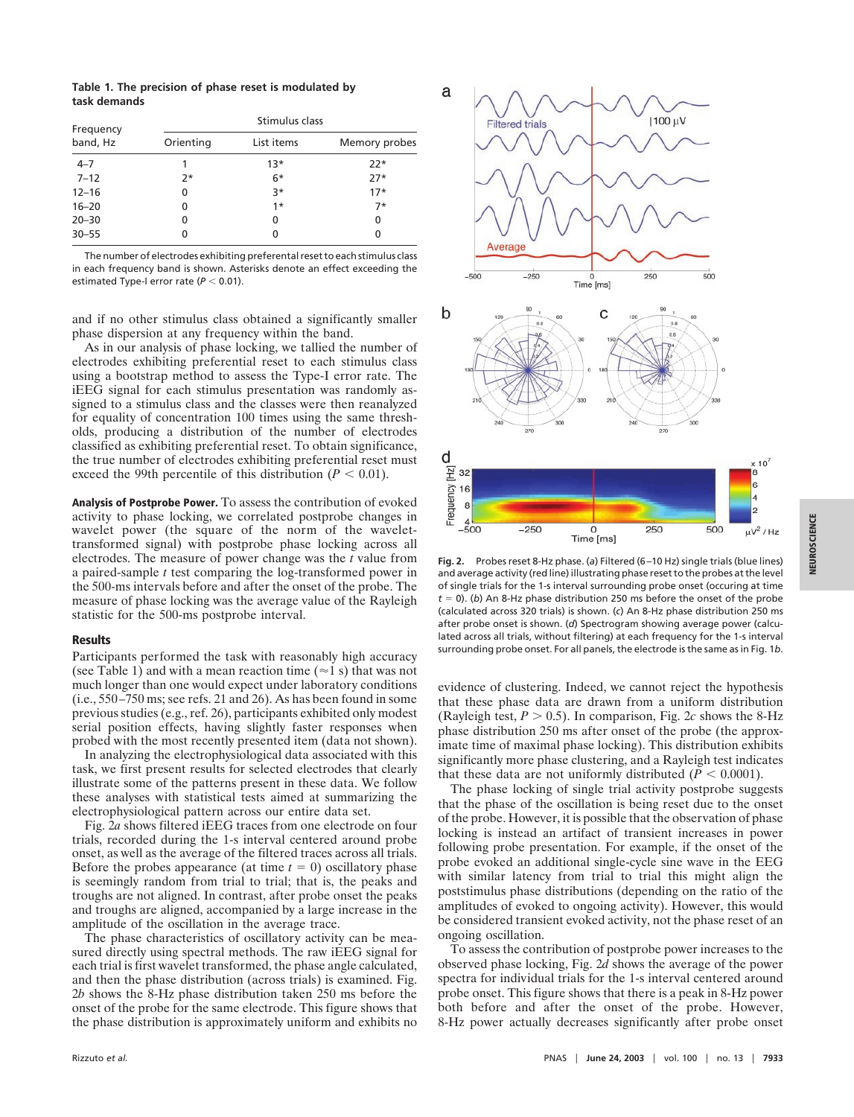**Table 1. The precision of phase reset is modulated by task demands**

| Stimulus class |            |               |
|----------------|------------|---------------|
| Orienting      | List items | Memory probes |
|                | $13*$      | $22*$         |
| $7*$           | $6*$       | $27*$         |
| 0              | $3*$       | $17*$         |
| 0              | $1*$       | $7*$          |
| 0              | 0          | 0             |
| 0              | 0          | 0             |
|                |            |               |

The number of electrodes exhibiting preferental reset to each stimulus class in each frequency band is shown. Asterisks denote an effect exceeding the estimated Type-I error rate  $(P < 0.01)$ .

and if no other stimulus class obtained a significantly smaller phase dispersion at any frequency within the band.

As in our analysis of phase locking, we tallied the number of electrodes exhibiting preferential reset to each stimulus class using a bootstrap method to assess the Type-I error rate. The iEEG signal for each stimulus presentation was randomly assigned to a stimulus class and the classes were then reanalyzed for equality of concentration 100 times using the same thresholds, producing a distribution of the number of electrodes classified as exhibiting preferential reset. To obtain significance, the true number of electrodes exhibiting preferential reset must exceed the 99th percentile of this distribution  $(P < 0.01)$ .

**Analysis of Postprobe Power.** To assess the contribution of evoked activity to phase locking, we correlated postprobe changes in wavelet power (the square of the norm of the wavelettransformed signal) with postprobe phase locking across all electrodes. The measure of power change was the *t* value from a paired-sample *t* test comparing the log-transformed power in the 500-ms intervals before and after the onset of the probe. The measure of phase locking was the average value of the Rayleigh statistic for the 500-ms postprobe interval.

## **Results**

Participants performed the task with reasonably high accuracy (see Table 1) and with a mean reaction time ( $\approx$ 1 s) that was not much longer than one would expect under laboratory conditions (i.e., 550–750 ms; see refs. 21 and 26). As has been found in some previous studies (e.g., ref. 26), participants exhibited only modest serial position effects, having slightly faster responses when probed with the most recently presented item (data not shown).

In analyzing the electrophysiological data associated with this task, we first present results for selected electrodes that clearly illustrate some of the patterns present in these data. We follow these analyses with statistical tests aimed at summarizing the electrophysiological pattern across our entire data set.

Fig. 2*a* shows filtered iEEG traces from one electrode on four trials, recorded during the 1-s interval centered around probe onset, as well as the average of the filtered traces across all trials. Before the probes appearance (at time  $t = 0$ ) oscillatory phase is seemingly random from trial to trial; that is, the peaks and troughs are not aligned. In contrast, after probe onset the peaks and troughs are aligned, accompanied by a large increase in the amplitude of the oscillation in the average trace.

The phase characteristics of oscillatory activity can be measured directly using spectral methods. The raw iEEG signal for each trial is first wavelet transformed, the phase angle calculated, and then the phase distribution (across trials) is examined. Fig. 2*b* shows the 8-Hz phase distribution taken 250 ms before the onset of the probe for the same electrode. This figure shows that the phase distribution is approximately uniform and exhibits no



**Fig. 2.** Probes reset 8-Hz phase. (*a*) Filtered (6–10 Hz) single trials (blue lines) and average activity (red line) illustrating phase reset to the probes at the level of single trials for the 1-s interval surrounding probe onset (occuring at time  $t = 0$ ). (b) An 8-Hz phase distribution 250 ms before the onset of the probe (calculated across 320 trials) is shown. (*c*) An 8-Hz phase distribution 250 ms after probe onset is shown. (*d*) Spectrogram showing average power (calculated across all trials, without filtering) at each frequency for the 1-s interval surrounding probe onset. For all panels, the electrode is the same as in Fig. 1*b*.

evidence of clustering. Indeed, we cannot reject the hypothesis that these phase data are drawn from a uniform distribution (Rayleigh test,  $P > 0.5$ ). In comparison, Fig. 2*c* shows the 8-Hz phase distribution 250 ms after onset of the probe (the approximate time of maximal phase locking). This distribution exhibits significantly more phase clustering, and a Rayleigh test indicates that these data are not uniformly distributed  $(P < 0.0001)$ .

The phase locking of single trial activity postprobe suggests that the phase of the oscillation is being reset due to the onset of the probe. However, it is possible that the observation of phase locking is instead an artifact of transient increases in power following probe presentation. For example, if the onset of the probe evoked an additional single-cycle sine wave in the EEG with similar latency from trial to trial this might align the poststimulus phase distributions (depending on the ratio of the amplitudes of evoked to ongoing activity). However, this would be considered transient evoked activity, not the phase reset of an ongoing oscillation.

To assess the contribution of postprobe power increases to the observed phase locking, Fig. 2*d* shows the average of the power spectra for individual trials for the 1-s interval centered around probe onset. This figure shows that there is a peak in 8-Hz power both before and after the onset of the probe. However, 8-Hz power actually decreases significantly after probe onset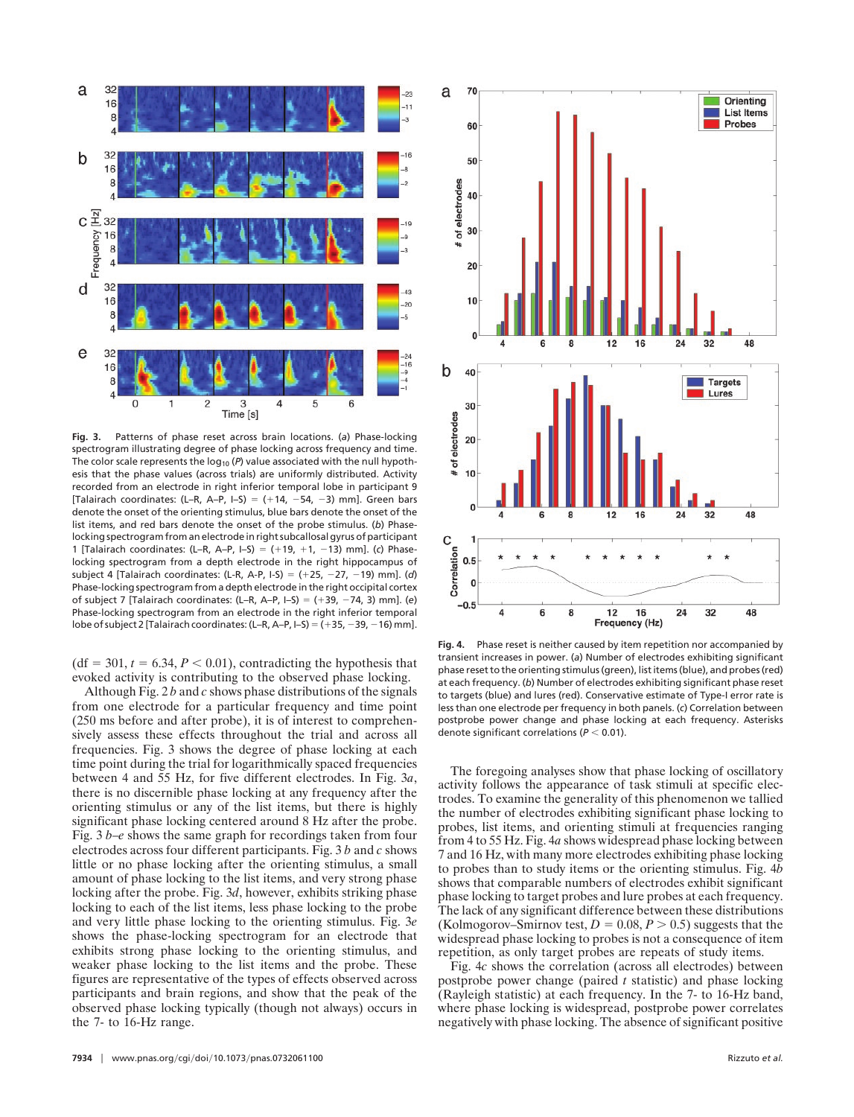

**Fig. 3.** Patterns of phase reset across brain locations. (*a*) Phase-locking spectrogram illustrating degree of phase locking across frequency and time. The color scale represents the log<sub>10</sub> (P) value associated with the null hypothesis that the phase values (across trials) are uniformly distributed. Activity recorded from an electrode in right inferior temporal lobe in participant 9 [Talairach coordinates: (L–R, A–P, I–S) =  $(+14, -54, -3)$  mm]. Green bars denote the onset of the orienting stimulus, blue bars denote the onset of the list items, and red bars denote the onset of the probe stimulus. (*b*) Phaselocking spectrogram from an electrode in right subcallosal gyrus of participant 1 [Talairach coordinates: (L–R, A–P, I–S) ( 19, 1, 13) mm]. (*c*) Phaselocking spectrogram from a depth electrode in the right hippocampus of subject 4 [Talairach coordinates: (L-R, A-P, I-S) ( 25, 27, 19) mm]. (*d*) Phase-locking spectrogram from a depth electrode in the right occipital cortex of subject 7 [Talairach coordinates: (L–R, A–P, I–S) ( 39, 74, 3) mm]. (*e*) Phase-locking spectrogram from an electrode in the right inferior temporal lobe of subject 2 [Talairach coordinates: (L–R, A–P, I–S) =  $(+35, -39, -16)$  mm].

 $(df = 301, t = 6.34, P < 0.01)$ , contradicting the hypothesis that evoked activity is contributing to the observed phase locking.

Although Fig. 2 *b* and *c* shows phase distributions of the signals from one electrode for a particular frequency and time point (250 ms before and after probe), it is of interest to comprehensively assess these effects throughout the trial and across all frequencies. Fig. 3 shows the degree of phase locking at each time point during the trial for logarithmically spaced frequencies between 4 and 55 Hz, for five different electrodes. In Fig. 3*a*, there is no discernible phase locking at any frequency after the orienting stimulus or any of the list items, but there is highly significant phase locking centered around 8 Hz after the probe. Fig. 3 *b*–*e* shows the same graph for recordings taken from four electrodes across four different participants. Fig. 3 *b* and *c* shows little or no phase locking after the orienting stimulus, a small amount of phase locking to the list items, and very strong phase locking after the probe. Fig. 3*d*, however, exhibits striking phase locking to each of the list items, less phase locking to the probe and very little phase locking to the orienting stimulus. Fig. 3*e* shows the phase-locking spectrogram for an electrode that exhibits strong phase locking to the orienting stimulus, and weaker phase locking to the list items and the probe. These figures are representative of the types of effects observed across participants and brain regions, and show that the peak of the observed phase locking typically (though not always) occurs in the 7- to 16-Hz range.



**Fig. 4.** Phase reset is neither caused by item repetition nor accompanied by transient increases in power. (*a*) Number of electrodes exhibiting significant phase reset to the orienting stimulus (green), list items (blue), and probes (red) at each frequency. (*b*) Number of electrodes exhibiting significant phase reset to targets (blue) and lures (red). Conservative estimate of Type-I error rate is less than one electrode per frequency in both panels. (*c*) Correlation between postprobe power change and phase locking at each frequency. Asterisks denote significant correlations ( $P < 0.01$ ).

The foregoing analyses show that phase locking of oscillatory activity follows the appearance of task stimuli at specific electrodes. To examine the generality of this phenomenon we tallied the number of electrodes exhibiting significant phase locking to probes, list items, and orienting stimuli at frequencies ranging from 4 to 55 Hz. Fig. 4*a* shows widespread phase locking between 7 and 16 Hz, with many more electrodes exhibiting phase locking to probes than to study items or the orienting stimulus. Fig. 4*b* shows that comparable numbers of electrodes exhibit significant phase locking to target probes and lure probes at each frequency. The lack of any significant difference between these distributions (Kolmogorov–Smirnov test,  $D = 0.08, P > 0.5$ ) suggests that the widespread phase locking to probes is not a consequence of item repetition, as only target probes are repeats of study items.

Fig. 4*c* shows the correlation (across all electrodes) between postprobe power change (paired *t* statistic) and phase locking (Rayleigh statistic) at each frequency. In the 7- to 16-Hz band, where phase locking is widespread, postprobe power correlates negatively with phase locking. The absence of significant positive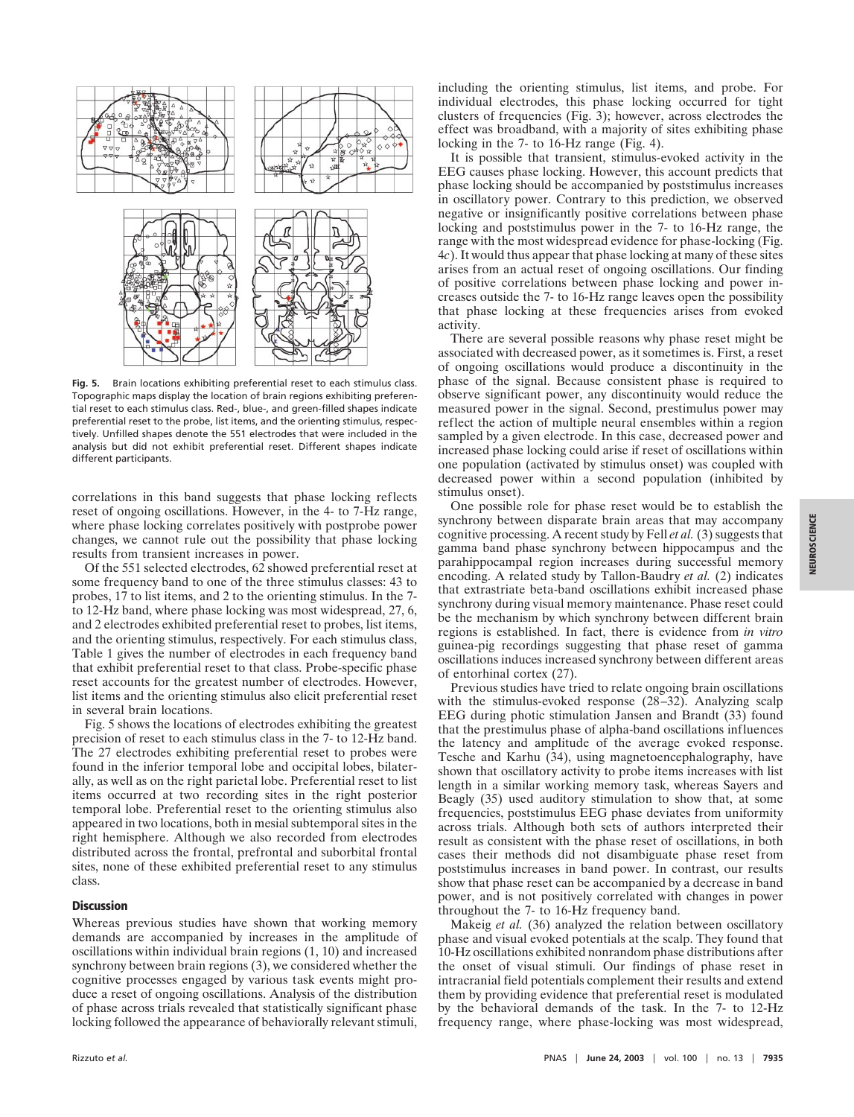

**Fig. 5.** Brain locations exhibiting preferential reset to each stimulus class. Topographic maps display the location of brain regions exhibiting preferential reset to each stimulus class. Red-, blue-, and green-filled shapes indicate preferential reset to the probe, list items, and the orienting stimulus, respectively. Unfilled shapes denote the 551 electrodes that were included in the analysis but did not exhibit preferential reset. Different shapes indicate different participants.

correlations in this band suggests that phase locking reflects reset of ongoing oscillations. However, in the 4- to 7-Hz range, where phase locking correlates positively with postprobe power changes, we cannot rule out the possibility that phase locking results from transient increases in power.

Of the 551 selected electrodes, 62 showed preferential reset at some frequency band to one of the three stimulus classes: 43 to probes, 17 to list items, and 2 to the orienting stimulus. In the 7 to 12-Hz band, where phase locking was most widespread, 27, 6, and 2 electrodes exhibited preferential reset to probes, list items, and the orienting stimulus, respectively. For each stimulus class, Table 1 gives the number of electrodes in each frequency band that exhibit preferential reset to that class. Probe-specific phase reset accounts for the greatest number of electrodes. However, list items and the orienting stimulus also elicit preferential reset in several brain locations.

Fig. 5 shows the locations of electrodes exhibiting the greatest precision of reset to each stimulus class in the 7- to 12-Hz band. The 27 electrodes exhibiting preferential reset to probes were found in the inferior temporal lobe and occipital lobes, bilaterally, as well as on the right parietal lobe. Preferential reset to list items occurred at two recording sites in the right posterior temporal lobe. Preferential reset to the orienting stimulus also appeared in two locations, both in mesial subtemporal sites in the right hemisphere. Although we also recorded from electrodes distributed across the frontal, prefrontal and suborbital frontal sites, none of these exhibited preferential reset to any stimulus class.

## **Discussion**

Whereas previous studies have shown that working memory demands are accompanied by increases in the amplitude of oscillations within individual brain regions (1, 10) and increased synchrony between brain regions (3), we considered whether the cognitive processes engaged by various task events might produce a reset of ongoing oscillations. Analysis of the distribution of phase across trials revealed that statistically significant phase locking followed the appearance of behaviorally relevant stimuli,

including the orienting stimulus, list items, and probe. For individual electrodes, this phase locking occurred for tight clusters of frequencies (Fig. 3); however, across electrodes the effect was broadband, with a majority of sites exhibiting phase locking in the 7- to 16-Hz range (Fig. 4).

It is possible that transient, stimulus-evoked activity in the EEG causes phase locking. However, this account predicts that phase locking should be accompanied by poststimulus increases in oscillatory power. Contrary to this prediction, we observed negative or insignificantly positive correlations between phase locking and poststimulus power in the 7- to 16-Hz range, the range with the most widespread evidence for phase-locking (Fig. 4*c*). It would thus appear that phase locking at many of these sites arises from an actual reset of ongoing oscillations. Our finding of positive correlations between phase locking and power increases outside the 7- to 16-Hz range leaves open the possibility that phase locking at these frequencies arises from evoked activity.

There are several possible reasons why phase reset might be associated with decreased power, as it sometimes is. First, a reset of ongoing oscillations would produce a discontinuity in the phase of the signal. Because consistent phase is required to observe significant power, any discontinuity would reduce the measured power in the signal. Second, prestimulus power may reflect the action of multiple neural ensembles within a region sampled by a given electrode. In this case, decreased power and increased phase locking could arise if reset of oscillations within one population (activated by stimulus onset) was coupled with decreased power within a second population (inhibited by stimulus onset).

One possible role for phase reset would be to establish the synchrony between disparate brain areas that may accompany cognitive processing. A recent study by Fell *et al.* (3) suggests that gamma band phase synchrony between hippocampus and the parahippocampal region increases during successful memory encoding. A related study by Tallon-Baudry *et al.* (2) indicates that extrastriate beta-band oscillations exhibit increased phase synchrony during visual memory maintenance. Phase reset could be the mechanism by which synchrony between different brain regions is established. In fact, there is evidence from *in vitro* guinea-pig recordings suggesting that phase reset of gamma oscillations induces increased synchrony between different areas of entorhinal cortex (27).

Previous studies have tried to relate ongoing brain oscillations with the stimulus-evoked response (28–32). Analyzing scalp EEG during photic stimulation Jansen and Brandt (33) found that the prestimulus phase of alpha-band oscillations influences the latency and amplitude of the average evoked response. Tesche and Karhu (34), using magnetoencephalography, have shown that oscillatory activity to probe items increases with list length in a similar working memory task, whereas Sayers and Beagly (35) used auditory stimulation to show that, at some frequencies, poststimulus EEG phase deviates from uniformity across trials. Although both sets of authors interpreted their result as consistent with the phase reset of oscillations, in both cases their methods did not disambiguate phase reset from poststimulus increases in band power. In contrast, our results show that phase reset can be accompanied by a decrease in band power, and is not positively correlated with changes in power throughout the 7- to 16-Hz frequency band.

Makeig *et al.* (36) analyzed the relation between oscillatory phase and visual evoked potentials at the scalp. They found that 10-Hz oscillations exhibited nonrandom phase distributions after the onset of visual stimuli. Our findings of phase reset in intracranial field potentials complement their results and extend them by providing evidence that preferential reset is modulated by the behavioral demands of the task. In the 7- to 12-Hz frequency range, where phase-locking was most widespread,